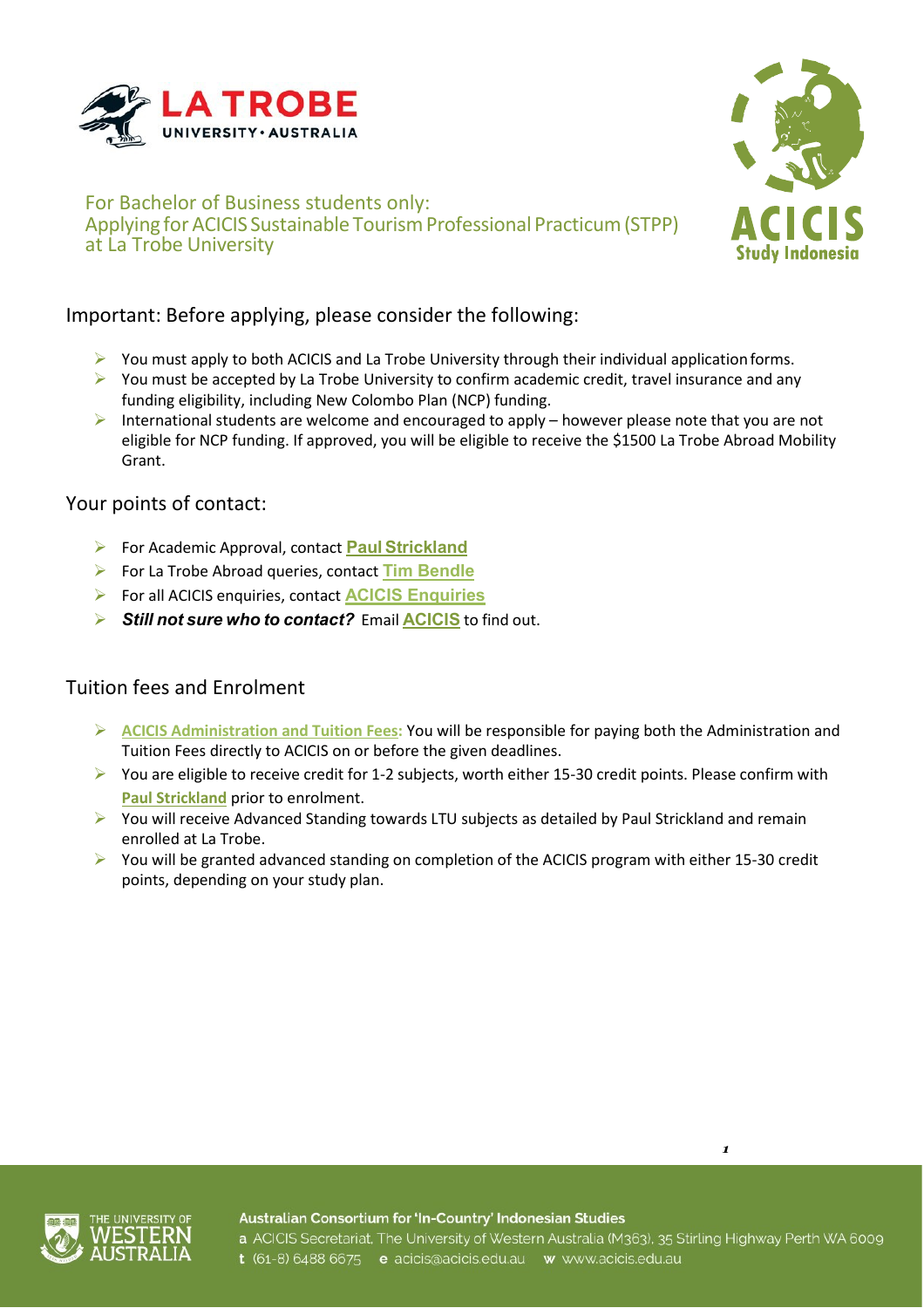



### For Bachelor of Business students only: Applying for ACICIS Sustainable Tourism Professional Practicum (STPP) at La Trobe University

# Important: Before applying, please consider the following:

- $\triangleright$  You must apply to both ACICIS and La Trobe University through their individual application forms.
- $\triangleright$  You must be accepted by La Trobe University to confirm academic credit, travel insurance and any funding eligibility, including New Colombo Plan (NCP) funding.
- International students are welcome and encouraged to apply however please note that you are not eligible for NCP funding. If approved, you will be eligible to receive the \$1500 La Trobe Abroad Mobility Grant.

### Your points of contact:

- For Academic Approval, contact **Paul [Strickland](mailto:p.strickland@latrobe.edu.au)**
- For La Trobe Abroad queries, contact **[Tim Bendle](mailto:studyabroad@latrobe.edu.au)**
- For all ACICIS enquiries, contact **[ACICIS Enquiries](mailto:enquiries@acicis.edu.au)**
- *Still not sure who to contact?* Email **[ACICIS](mailto:enquiries@acicis.edu.au)** to find out.

# Tuition fees and Enrolment

- **[ACICIS Administration and Tuition Fees:](mailto:http://www.acicis.edu.au/programs/practicum/costs/)** You will be responsible for paying both the Administration and Tuition Fees directly to ACICIS on or before the given deadlines.
- $\triangleright$  You are eligible to receive credit for 1-2 subjects, worth either 15-30 credit points. Please confirm with **[Paul Strickland](mailto:p.strickland@latrobe.edu.au)** prior to enrolment.
- $\triangleright$  You will receive Advanced Standing towards LTU subjects as detailed by Paul Strickland and remain enrolled at La Trobe.
- $\triangleright$  You will be granted advanced standing on completion of the ACICIS program with either 15-30 credit points, depending on your study plan.



Australian Consortium for 'In-Country' Indonesian Studies

*1*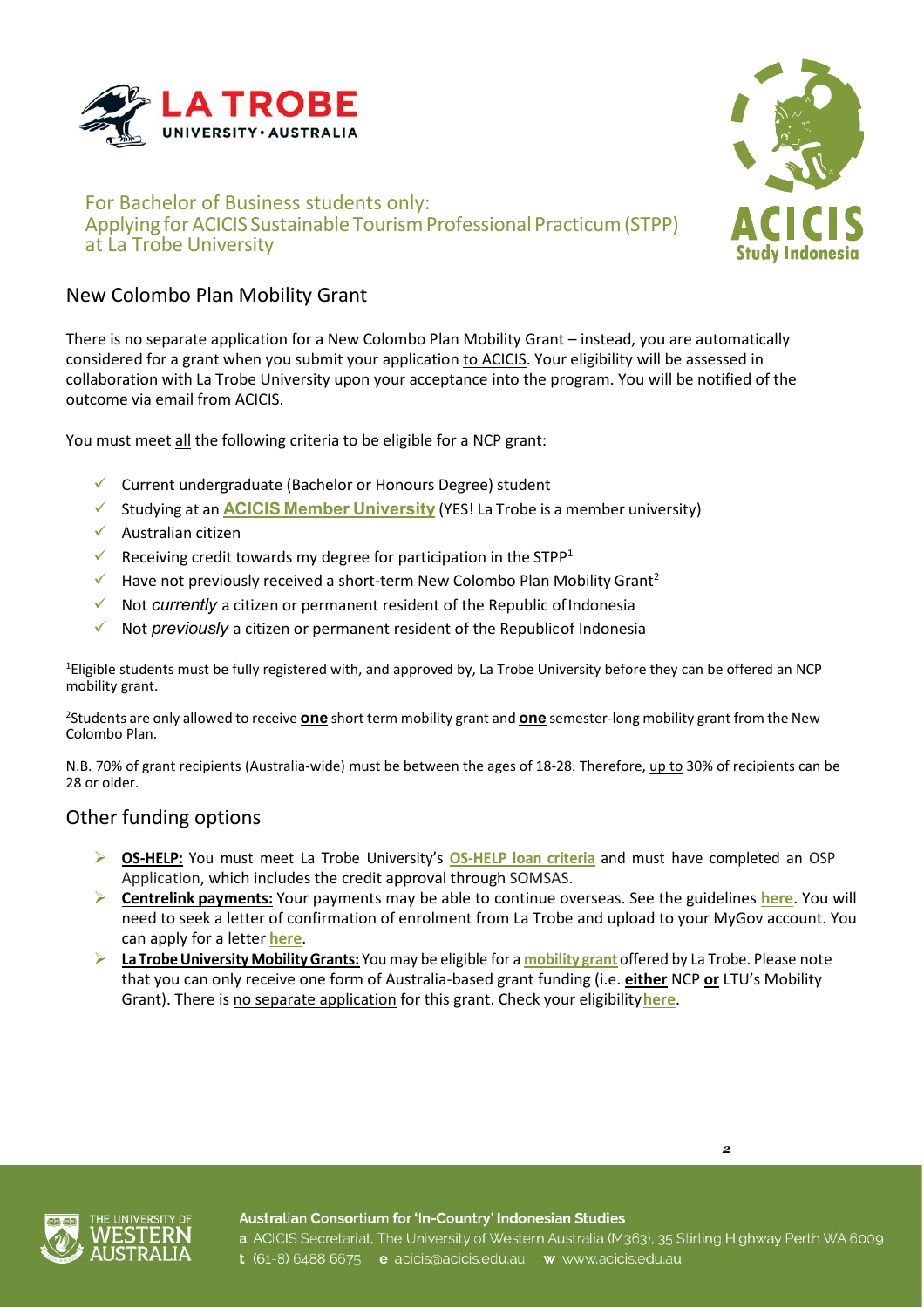

### For Bachelor of Business students only: Applying for ACICIS Sustainable Tourism Professional Practicum (STPP) at La Trobe University



# New Colombo Plan Mobility Grant

There is no separate application for a New Colombo Plan Mobility Grant – instead, you are automatically considered for a grant when you submit your application to ACICIS. Your eligibility will be assessed in collaboration with La Trobe University upon your acceptance into the program. You will be notified of the outcome via email from ACICIS.

You must meet all the following criteria to be eligible for a NCP grant:

- $\checkmark$  Current undergraduate (Bachelor or Honours Degree) student
- Studying at an **ACICIS Member [University](http://www.acicis.edu.au/universities/member/)** (YES! La Trobe is a member university)
- Australian citizen
- Receiving credit towards my degree for participation in the STPP<sup>1</sup>
- $\checkmark$  Have not previously received a short-term New Colombo Plan Mobility Grant<sup>2</sup>
- Not *currently* a citizen or permanent resident of the Republic ofIndonesia
- Not *previously* a citizen or permanent resident of the Republicof Indonesia

<sup>1</sup>Eligible students must be fully registered with, and approved by, La Trobe University before they can be offered an NCP mobility grant.

2 Students are only allowed to receive **one** short term mobility grant and **one** semester-long mobility grant from the New Colombo Plan.

N.B. 70% of grant recipients (Australia-wide) must be between the ages of 18-28. Therefore, up to 30% of recipients can be 28 or older.

# Other funding options

- **OS-HELP:** You must meet La Trobe University's **[OS-HELP](https://www.latrobe.edu.au/students/admin/fees-and-money/assistance/loan-studying-abroad) loan criteria** and must have completed an [OSP](http://www.latrobe.edu.au/students/opportunities/exchange/short-programs/apply) [Application, w](http://www.latrobe.edu.au/students/opportunities/exchange/short-programs/apply)hich includes the credit approval through [SOMSAS.](https://uniforms.latrobe.edu.au/sites/lti/somsas)
- **Centrelink payments:** Your payments may be able to continue overseas. See the guidelines **[here](https://www.humanservices.gov.au/individuals/enablers/travelling-outside-australia-youth-allowance-students-and-apprentices/31106)**. You will need to seek a letter of confirmation of enrolment from La Trobe and upload to your MyGov account. You can apply for a letter **[here](https://www.latrobe.edu.au/students/admin/forms/letter-to-centrelink/application)**.
- **La TrobeUniversityMobilityGrants:** You may be eligible for a **[mobility](https://www.latrobe.edu.au/students/opportunities/exchange/program-funding-and-costs) grant** offered by La Trobe. Please note that you can only receive one form of Australia-based grant funding (i.e. **either** NCP **or** LTU's Mobility Grant). There is no separate application for this grant. Check your eligibility**[here](https://policies.latrobe.edu.au/document/view.php?id=175)**.



*2*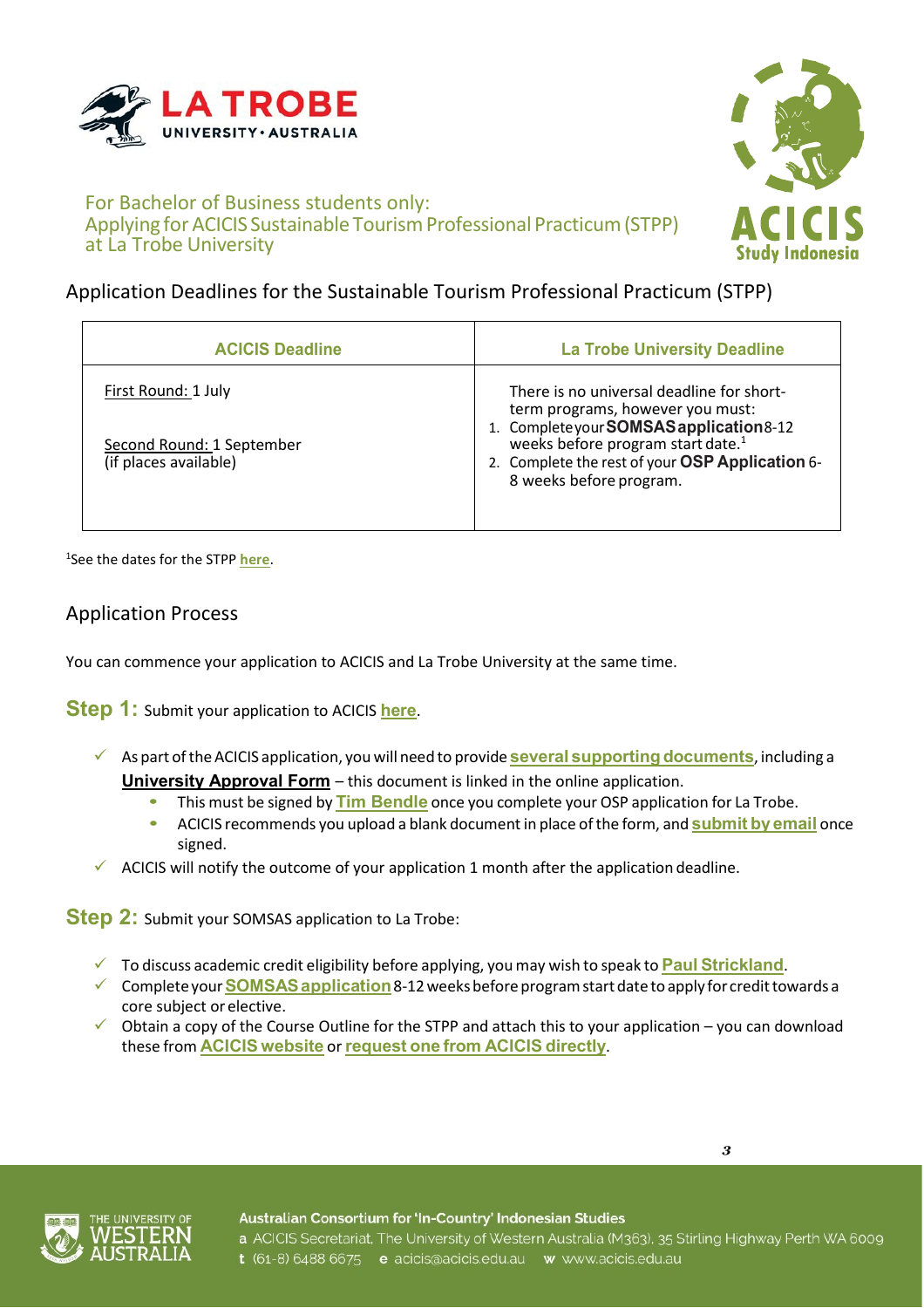

Study Indonesia

### For Bachelor of Business students only: Applying for ACICIS Sustainable Tourism Professional Practicum (STPP) at La Trobe University

# Application Deadlines for the Sustainable Tourism Professional Practicum (STPP)

| <b>ACICIS Deadline</b>                                                    | <b>La Trobe University Deadline</b>                                                                                                                                                                                                                             |
|---------------------------------------------------------------------------|-----------------------------------------------------------------------------------------------------------------------------------------------------------------------------------------------------------------------------------------------------------------|
| First Round: 1 July<br>Second Round: 1 September<br>(if places available) | There is no universal deadline for short-<br>term programs, however you must:<br>1. Complete your <b>SOMSAS</b> application 8-12<br>weeks before program start date. <sup>1</sup><br>2. Complete the rest of your OSP Application 6-<br>8 weeks before program. |
|                                                                           |                                                                                                                                                                                                                                                                 |

1 See the dates for the STPP **[here](http://www.acicis.edu.au/programs/practicum/dates/)**.

# Application Process

You can commence your application to ACICIS and La Trobe University at the same time.

**Step 1:** Submit your application to ACICIS **[here](https://fs9.formsite.com/acicis/form41/form_login.html)**.

- As part oftheACICIS application, you will need to provide **several [supportingdocuments](http://1073zb3xfs20yv98x228do7r.wpengine.netdna-cdn.com/wp-content/uploads/2018/04/PP_ACICIS_Application_Pathway2019-form.pdf)**, including a **University Approval Form** – this document is linked in the online application.
	- **•** This must be signed by **[Tim Bendle](mailto:studyabroad@latrobe.edu.au)** once you complete your OSP application for La Trobe.
	- **•** ACICIS recommends you upload a blank document in place ofthe form, and **[submit](mailto:n.bell@acicis.edu.au) by email** once signed.
- $\checkmark$  ACICIS will notify the outcome of your application 1 month after the application deadline.

**Step 2:** Submit your SOMSAS application to La Trobe:

- To discuss academic credit eligibility before applying, youmay wish to speak to **Paul [Strickland](mailto:p.strickland@latrobe.edu.au)**.
- Completeyour**[SOMSASapplication](https://uniforms.latrobe.edu.au/sites/lti/somsas)**8-12weeksbeforeprogramstartdate to apply for credittowards a core subject or elective.
- Obtain a copy of the Course Outline for the STPP and attach this to your application you can download these from **ACICIS [website](http://www.acicis.edu.au/)** or**[request](mailto:n.bell@acicis.edu.au) one from ACICIS directly**.